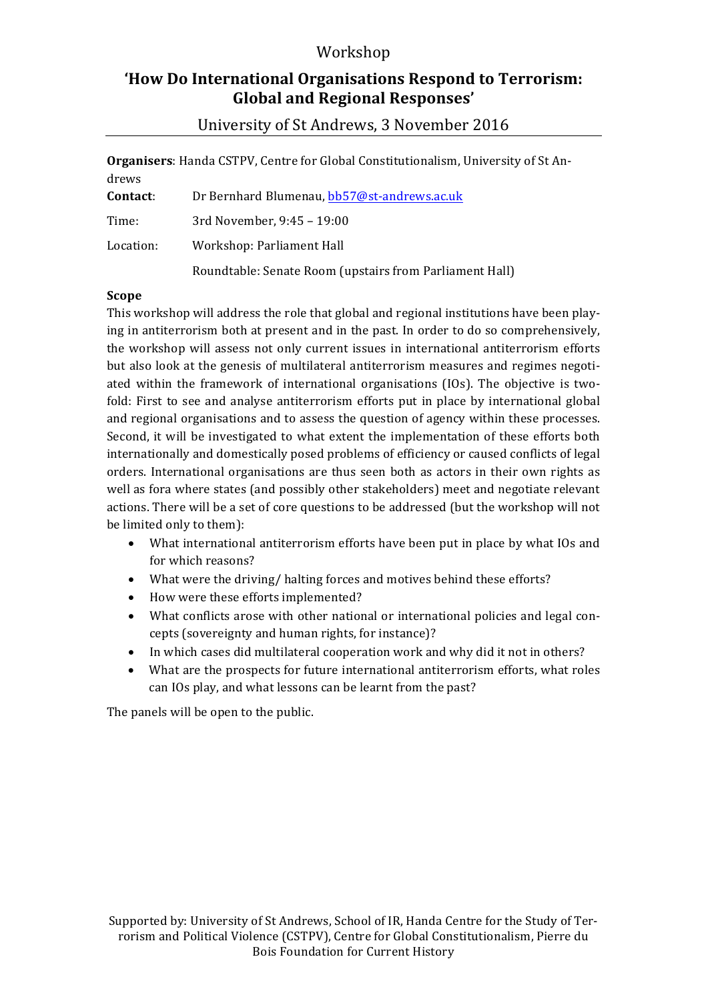### Workshop

## 'How Do International Organisations Respond to Terrorism: **Global and Regional Responses'**

**Organisers**: Handa CSTPV, Centre for Global Constitutionalism, University of St Andrews

| Contact:  | Dr Bernhard Blumenau, bb57@st-andrews.ac.uk             |
|-----------|---------------------------------------------------------|
| Time:     | 3rd November, 9:45 - 19:00                              |
| Location: | Workshop: Parliament Hall                               |
|           | Roundtable: Senate Room (upstairs from Parliament Hall) |

#### **Scope**

This workshop will address the role that global and regional institutions have been playing in antiterrorism both at present and in the past. In order to do so comprehensively, the workshop will assess not only current issues in international antiterrorism efforts but also look at the genesis of multilateral antiterrorism measures and regimes negotiated within the framework of international organisations (IOs). The objective is twofold: First to see and analyse antiterrorism efforts put in place by international global and regional organisations and to assess the question of agency within these processes. Second, it will be investigated to what extent the implementation of these efforts both internationally and domestically posed problems of efficiency or caused conflicts of legal orders. International organisations are thus seen both as actors in their own rights as well as fora where states (and possibly other stakeholders) meet and negotiate relevant actions. There will be a set of core questions to be addressed (but the workshop will not be limited only to them):

- What international antiterrorism efforts have been put in place by what IOs and for which reasons?
- What were the driving/ halting forces and motives behind these efforts?
- How were these efforts implemented?
- What conflicts arose with other national or international policies and legal concepts (sovereignty and human rights, for instance)?
- In which cases did multilateral cooperation work and why did it not in others?
- What are the prospects for future international antiterrorism efforts, what roles can IOs play, and what lessons can be learnt from the past?

The panels will be open to the public.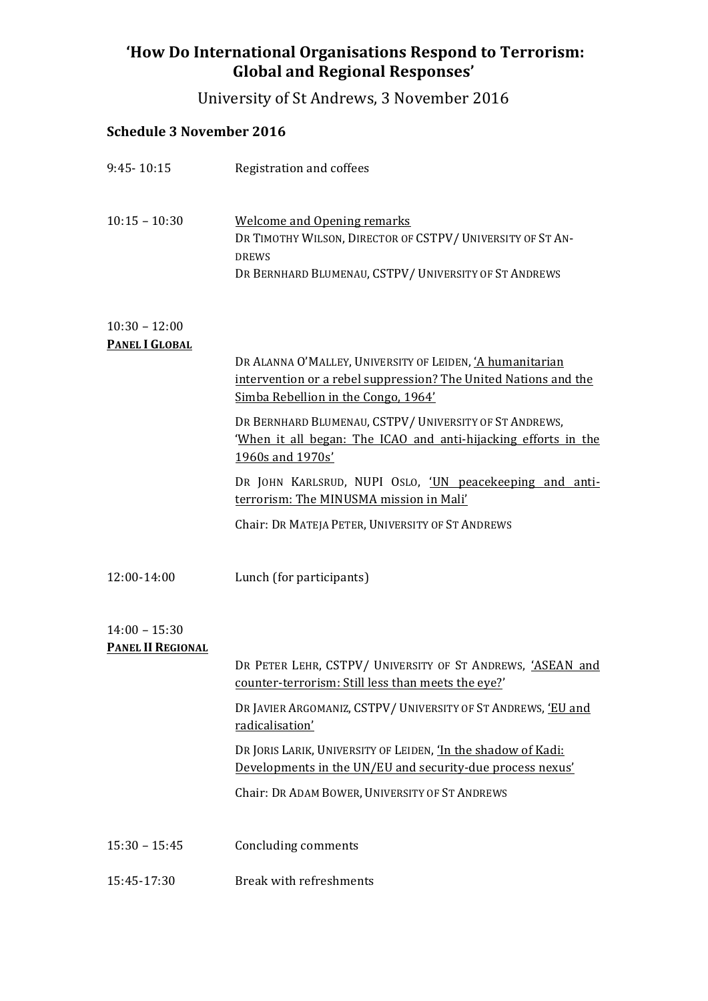# 'How Do International Organisations Respond to Terrorism: Global and Regional Responses'

University of St Andrews, 3 November 2016

# **Schedule 3 November 2016**

| $9:45 - 10:15$                              | Registration and coffees                                                                                                                                                |
|---------------------------------------------|-------------------------------------------------------------------------------------------------------------------------------------------------------------------------|
| $10:15 - 10:30$                             | <b>Welcome and Opening remarks</b><br>DR TIMOTHY WILSON, DIRECTOR OF CSTPV/UNIVERSITY OF ST AN-<br><b>DREWS</b><br>DR BERNHARD BLUMENAU, CSTPV/UNIVERSITY OF ST ANDREWS |
| $10:30 - 12:00$<br><b>PANEL I GLOBAL</b>    |                                                                                                                                                                         |
|                                             | DR ALANNA O'MALLEY, UNIVERSITY OF LEIDEN, 'A humanitarian<br>intervention or a rebel suppression? The United Nations and the<br>Simba Rebellion in the Congo, 1964'     |
|                                             | DR BERNHARD BLUMENAU, CSTPV/UNIVERSITY OF ST ANDREWS,<br>'When it all began: The ICAO and anti-hijacking efforts in the<br>1960s and 1970s'                             |
|                                             | DR JOHN KARLSRUD, NUPI OSLO, 'UN peacekeeping and anti-<br>terrorism: The MINUSMA mission in Mali'                                                                      |
|                                             | Chair: DR MATEJA PETER, UNIVERSITY OF ST ANDREWS                                                                                                                        |
| 12:00-14:00                                 | Lunch (for participants)                                                                                                                                                |
| $14:00 - 15:30$<br><b>PANEL II REGIONAL</b> |                                                                                                                                                                         |
|                                             | DR PETER LEHR, CSTPV/ UNIVERSITY OF ST ANDREWS, 'ASEAN and<br>counter-terrorism: Still less than meets the eye?'                                                        |
|                                             | DR JAVIER ARGOMANIZ, CSTPV/ UNIVERSITY OF ST ANDREWS, 'EU and<br>radicalisation'                                                                                        |
|                                             | DR JORIS LARIK, UNIVERSITY OF LEIDEN, 'In the shadow of Kadi:<br>Developments in the UN/EU and security-due process nexus'                                              |
|                                             | Chair: DR ADAM BOWER, UNIVERSITY OF ST ANDREWS                                                                                                                          |
| $15:30 - 15:45$                             | Concluding comments                                                                                                                                                     |
| 15:45-17:30                                 | Break with refreshments                                                                                                                                                 |